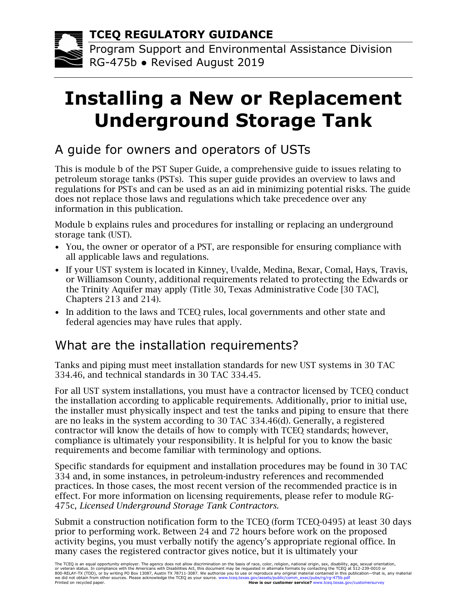#### **TCEQ REGULATORY GUIDANCE**

Program Support and Environmental Assistance Division RG-475b ● Revised August 2019

# **Installing a New or Replacement Underground Storage Tank**

## A guide for owners and operators of USTs

This is module b of the PST Super Guide, a comprehensive guide to issues relating to petroleum storage tanks (PSTs). This super guide provides an overview to laws and regulations for PSTs and can be used as an aid in minimizing potential risks. The guide does not replace those laws and regulations which take precedence over any information in this publication.

Module b explains rules and procedures for installing or replacing an underground storage tank (UST).

- You, the owner or operator of a PST, are responsible for ensuring compliance with all applicable laws and regulations.
- If your UST system is located in Kinney, Uvalde, Medina, Bexar, Comal, Hays, Travis, or Williamson County, additional requirements related to protecting the Edwards or the Trinity Aquifer may apply (Title 30, Texas Administrative Code [30 TAC], Chapters 213 and 214).
- In addition to the laws and TCEQ rules, local governments and other state and federal agencies may have rules that apply.

#### What are the installation requirements?

Tanks and piping must meet installation standards for new UST systems in [30 TAC](https://texreg.sos.state.tx.us/public/readtac$ext.TacPage?sl=R&app=9&p_dir=&p_rloc=&p_tloc=&p_ploc=&pg=1&p_tac=&ti=30&pt=1&ch=334&rl=46)  [334.46,](https://texreg.sos.state.tx.us/public/readtac$ext.TacPage?sl=R&app=9&p_dir=&p_rloc=&p_tloc=&p_ploc=&pg=1&p_tac=&ti=30&pt=1&ch=334&rl=46) and technical standards in [30 TAC 334.45.](https://texreg.sos.state.tx.us/public/readtac$ext.TacPage?sl=T&app=9&p_dir=P&p_rloc=191116&p_tloc=14809&p_ploc=1&pg=2&p_tac=&ti=30&pt=1&ch=334&rl=46)

For all UST system installations, you must have a contractor licensed by TCEQ conduct the installation according to applicable requirements. Additionally, prior to initial use, the installer must physically inspect and test the tanks and piping to ensure that there are no leaks in the system according to 30 TAC 334.46(d). Generally, a registered contractor will know the details of how to comply with TCEQ standards; however, compliance is ultimately your responsibility. It is helpful for you to know the basic requirements and become familiar with terminology and options.

Specific standards for equipment and installation procedures may be found in 30 TAC 334 and, in some instances, in petroleum-industry references and recommended practices. In those cases, the most recent version of the recommended practice is in effect. For more information on licensing requirements, please refer to module RG-475c, *Licensed Underground Storage Tank Contractors.*

Submit a construction notification form to the TCEQ (form TCEQ-0495) at least 30 days prior to performing work. Between 24 and 72 hours before work on the proposed activity begins, you must verbally notify the agency's appropriate regional office. In many cases the registered contractor gives notice, but it is ultimately your

The TCEQ is an equal opportunity employer. The agency does not allow discrimination on the basis of race, color, religion, national origin, sex, disability, age, sexual orientation, or veteran status. In compliance with the Americans with Disabilities Act, this document may be requested in alternate formats by contacting the TCEQ at 512-239-0010 or<br>800-RELAY-TX (TDD), or by writing PO Box 13087, Austi Printed on recycled paper. **How is our customer service?** [www.tceq.texas.gov/customersurvey](https://www.tceq.texas.gov/customersurvey)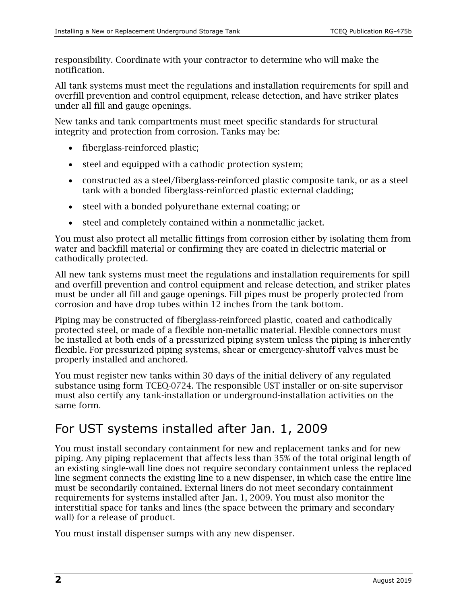responsibility. Coordinate with your contractor to determine who will make the notification.

All tank systems must meet the regulations and installation requirements for spill and overfill prevention and control equipment, release detection, and have striker plates under all fill and gauge openings.

New tanks and tank compartments must meet specific standards for structural integrity and protection from corrosion. Tanks may be:

- fiberglass-reinforced plastic;
- steel and equipped with a cathodic protection system;
- constructed as a steel/fiberglass-reinforced plastic composite tank, or as a steel tank with a bonded fiberglass-reinforced plastic external cladding;
- steel with a bonded polyurethane external coating; or
- steel and completely contained within a nonmetallic jacket.

You must also protect all metallic fittings from corrosion either by isolating them from water and backfill material or confirming they are coated in dielectric material or cathodically protected.

All new tank systems must meet the regulations and installation requirements for spill and overfill prevention and control equipment and release detection, and striker plates must be under all fill and gauge openings. Fill pipes must be properly protected from corrosion and have drop tubes within 12 inches from the tank bottom.

Piping may be constructed of fiberglass-reinforced plastic, coated and cathodically protected steel, or made of a flexible non-metallic material. Flexible connectors must be installed at both ends of a pressurized piping system unless the piping is inherently flexible. For pressurized piping systems, shear or emergency-shutoff valves must be properly installed and anchored.

You must register new tanks within 30 days of the initial delivery of any regulated substance using form TCEQ-0724. The responsible UST installer or on-site supervisor must also certify any tank-installation or underground-installation activities on the same form.

### For UST systems installed after Jan. 1, 2009

You must install secondary containment for new and replacement tanks and for new piping. Any piping replacement that affects less than 35% of the total original length of an existing single-wall line does not require secondary containment unless the replaced line segment connects the existing line to a new dispenser, in which case the entire line must be secondarily contained. External liners do not meet secondary containment requirements for systems installed after Jan. 1, 2009. You must also monitor the interstitial space for tanks and lines (the space between the primary and secondary wall) for a release of product.

You must install dispenser sumps with any new dispenser.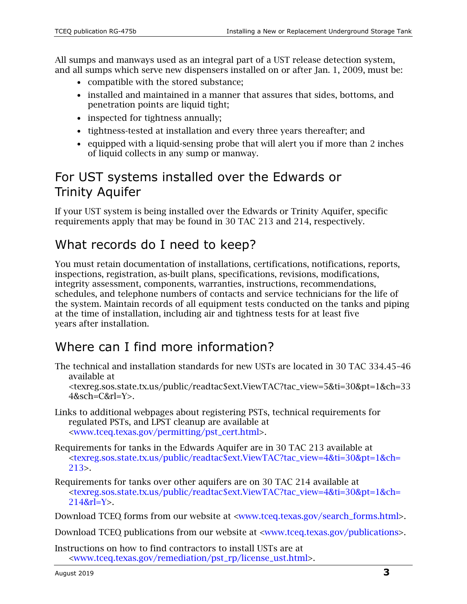All sumps and manways used as an integral part of a UST release detection system, and all sumps which serve new dispensers installed on or after Jan. 1, 2009, must be:

- compatible with the stored substance;
- installed and maintained in a manner that assures that sides, bottoms, and penetration points are liquid tight;
- inspected for tightness annually;
- tightness-tested at installation and every three years thereafter; and
- equipped with a liquid-sensing probe that will alert you if more than 2 inches of liquid collects in any sump or manway.

#### For UST systems installed over the Edwards or Trinity Aquifer

If your UST system is being installed over the Edwards or Trinity Aquifer, specific requirements apply that may be found in 30 TAC 213 and 214, respectively.

#### What records do I need to keep?

You must retain documentation of installations, certifications, notifications, reports, inspections, registration, as-built plans, specifications, revisions, modifications, integrity assessment, components, warranties, instructions, recommendations, schedules, and telephone numbers of contacts and service technicians for the life of the system. Maintain records of all equipment tests conducted on the tanks and piping at the time of installation, including air and tightness tests for at least five years after installation.

### Where can I find more information?

The technical and installation standards for new USTs are located in 30 TAC 334.45–46 available at

[<texreg.sos.state.tx.us/public/readtac\\$ext.ViewTAC?tac\\_view=5&ti=30&pt=1&ch=33](https://texreg.sos.state.tx.us/public/readtac$ext.ViewTAC?tac_view=5&ti=30&pt=1&ch=334&sch=C&rl=Y)  $4&$ sch=C $&$ rl=Y $>$ .

- Links to additional webpages about registering PSTs, technical requirements for regulated PSTs, and LPST cleanup are available at [<www.tceq.texas.gov/permitting/pst\\_cert.html>.](https://www.tceq.texas.gov/permitting/pst_cert.html)
- Requirements for tanks in the Edwards Aquifer are in 30 TAC 213 available at [<texreg.sos.state.tx.us/public/readtac\\$ext.ViewTAC?tac\\_view=4&ti=30&pt=1&ch=](https://texreg.sos.state.tx.us/public/readtac$ext.ViewTAC?tac_view=4&ti=30&pt=1&ch=213) [213>](https://texreg.sos.state.tx.us/public/readtac$ext.ViewTAC?tac_view=4&ti=30&pt=1&ch=213).
- Requirements for tanks over other aquifers are on 30 TAC 214 available at [<texreg.sos.state.tx.us/public/readtac\\$ext.ViewTAC?tac\\_view=4&ti=30&pt=1&ch=](https://texreg.sos.state.tx.us/public/readtac$ext.ViewTAC?tac_view=4&ti=30&pt=1&ch=214&rl=Y) [214&rl=Y>](https://texreg.sos.state.tx.us/public/readtac$ext.ViewTAC?tac_view=4&ti=30&pt=1&ch=214&rl=Y).

Download TCEQ forms from our website at [<www.tceq.texas.gov/search\\_forms.html>](https://www.tceq.texas.gov/search_forms.html).

Download TCEQ publications from our website at [<www.tceq.texas.gov/publications>](http://www.tceq.texas.gov/publications).

Instructions on how to find contractors to install USTs are at [<www.tceq.texas.gov/remediation/pst\\_rp/license\\_ust.html>](https://www.tceq.texas.gov/remediation/pst_rp/license_ust.html).